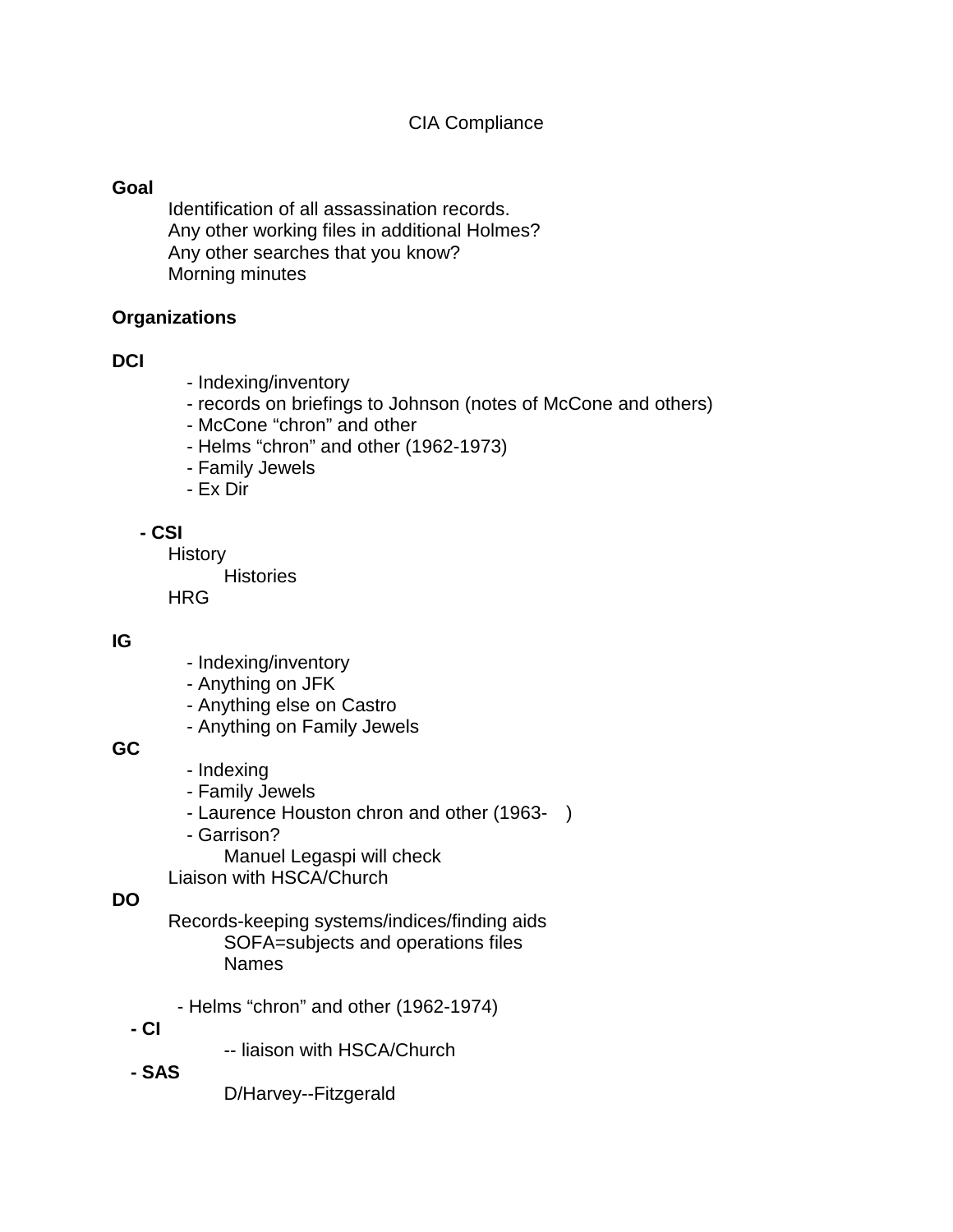## **Goal**

Identification of all assassination records. Any other working files in additional Holmes? Any other searches that you know? Morning minutes

## **Organizations**

## **DCI**

- Indexing/inventory
- records on briefings to Johnson (notes of McCone and others)
- McCone "chron" and other
- Helms "chron" and other (1962-1973)
- Family Jewels
- Ex Dir

## **- CSI**

**History** 

**Histories** 

HRG

## **IG**

- Indexing/inventory
- Anything on JFK
- Anything else on Castro
- Anything on Family Jewels

## **GC**

- Indexing
- Family Jewels
- Laurence Houston chron and other (1963- )
- Garrison?
	- Manuel Legaspi will check

Liaison with HSCA/Church

## **DO**

Records-keeping systems/indices/finding aids SOFA=subjects and operations files Names

- Helms "chron" and other (1962-1974)
- **- CI**
- -- liaison with HSCA/Church
- **- SAS**

D/Harvey--Fitzgerald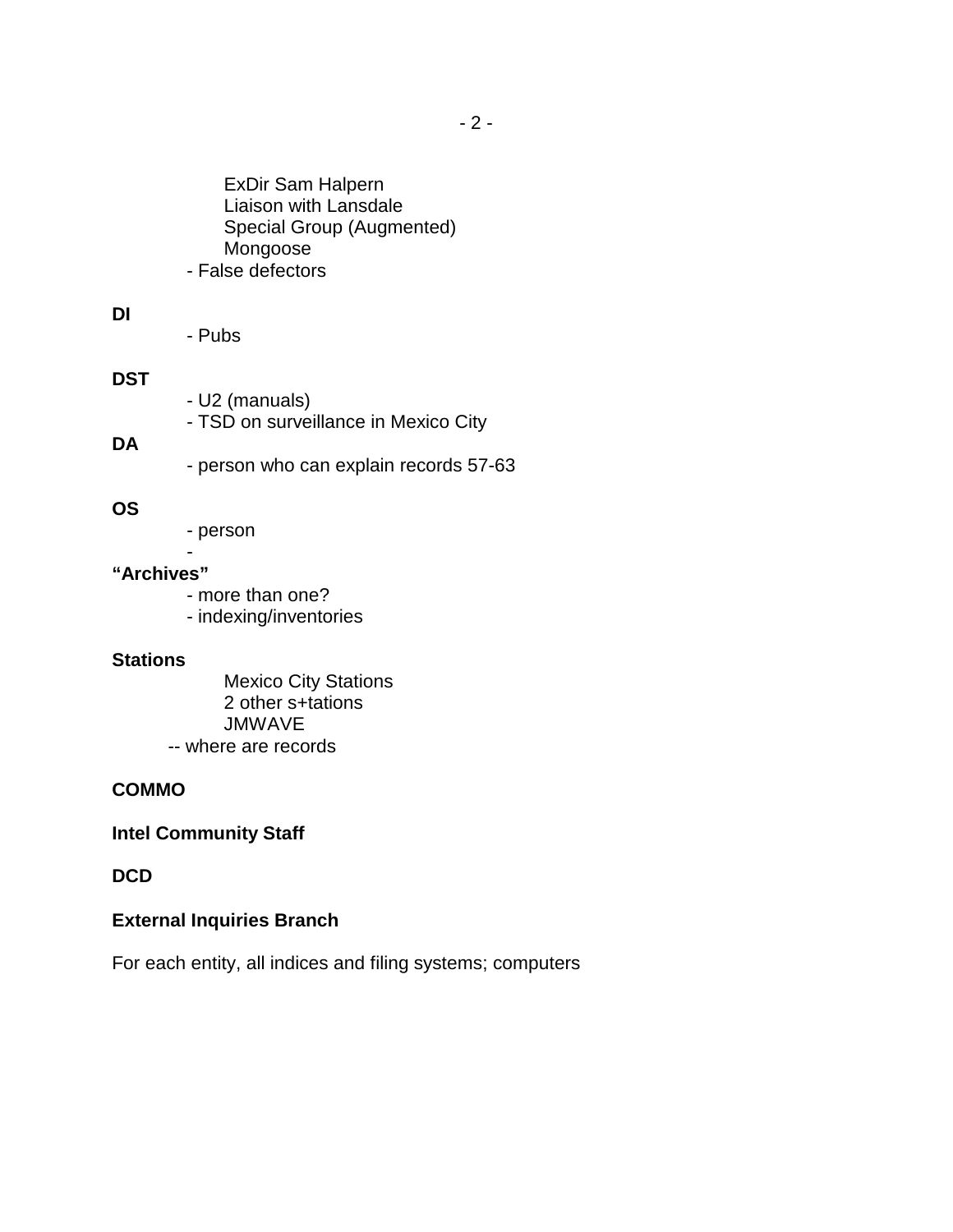ExDir Sam Halpern Liaison with Lansdale Special Group (Augmented) Mongoose - False defectors

#### **DI**

- Pubs

## **DST**

- U2 (manuals)
- TSD on surveillance in Mexico City

#### **DA**

- person who can explain records 57-63

#### **OS**

- person

#### - **"Archives"**

- more than one?
- indexing/inventories

#### **Stations**

Mexico City Stations 2 other s+tations JMWAVE -- where are records

## **COMMO**

## **Intel Community Staff**

## **DCD**

## **External Inquiries Branch**

For each entity, all indices and filing systems; computers